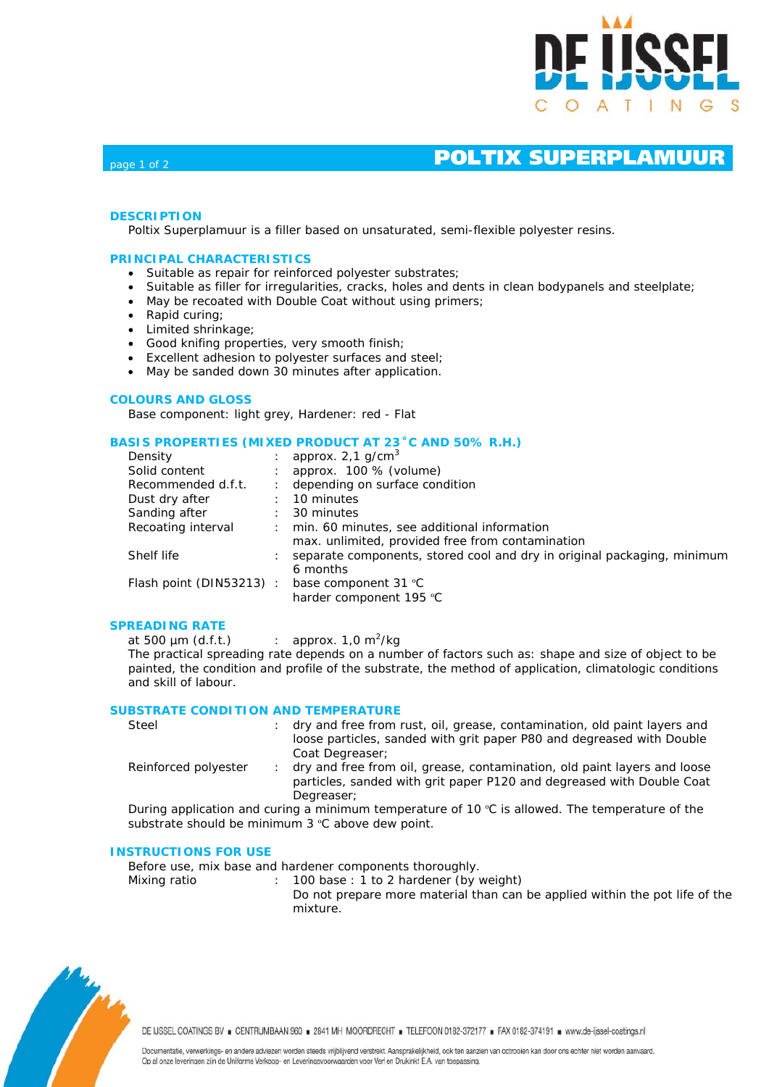

# page 1 of 2 **POLTIX SUPERPLAMUUR**

# **DESCRIPTION**

Poltix Superplamuur is a filler based on unsaturated, semi-flexible polyester resins.

## **PRINCIPAL CHARACTERISTICS**

- Suitable as repair for reinforced polyester substrates;
- Suitable as filler for irregularities, cracks, holes and dents in clean bodypanels and steelplate;
- May be recoated with Double Coat without using primers;
- Rapid curing;
- Limited shrinkage;
- Good knifing properties, very smooth finish;
- Excellent adhesion to polyester surfaces and steel;
- May be sanded down 30 minutes after application.

### **COLOURS AND GLOSS**

Base component: light grey, Hardener: red - Flat

### **BASIS PROPERTIES (MIXED PRODUCT AT 23˚C AND 50% R.H.)**

| Density                     | approx. $2,1$ g/cm <sup>3</sup>                                                                 |
|-----------------------------|-------------------------------------------------------------------------------------------------|
| Solid content               | approx. 100 % (volume)                                                                          |
| Recommended d.f.t.          | depending on surface condition                                                                  |
| Dust dry after              | 10 minutes                                                                                      |
| Sanding after               | 30 minutes                                                                                      |
| Recoating interval          | min. 60 minutes, see additional information<br>max. unlimited, provided free from contamination |
| Shelf life                  | separate components, stored cool and dry in original packaging, minimum<br>6 months             |
| Flash point ( $DIN53213$ ): | base component 31 °C<br>harder component 195 °C                                                 |

### **SPREADING RATE**

at 500  $\mu$ m (d.f.t.) : approx. 1,0 m<sup>2</sup>/kg The practical spreading rate depends on a number of factors such as: shape and size of object to be painted, the condition and profile of the substrate, the method of application, climatologic conditions and skill of labour.

### **SUBSTRATE CONDITION AND TEMPERATURE**

| Steel                | : dry and free from rust, oil, grease, contamination, old paint layers and |  |  |  |  |
|----------------------|----------------------------------------------------------------------------|--|--|--|--|
|                      | loose particles, sanded with grit paper P80 and degreased with Double      |  |  |  |  |
|                      | Coat Degreaser:                                                            |  |  |  |  |
| Reinforced polyester | dry and free from oil, grease, contamination, old paint layers and loose   |  |  |  |  |
|                      |                                                                            |  |  |  |  |

particles, sanded with grit paper P120 and degreased with Double Coat Degreaser;

During application and curing a minimum temperature of 10  $\degree$ C is allowed. The temperature of the substrate should be minimum 3 °C above dew point.

#### **INSTRUCTIONS FOR USE**

Before use, mix base and hardener components thoroughly.

Mixing ratio : 100 base : 1 to 2 hardener (by weight) Do not prepare more material than can be applied within the pot life of the mixture.



DE IJSSEL COATINGS BV . CENTRUMBAAN 960 . 2841 MH MOORDRECHT . TELEFOON 0182-372177 . FAX 0182-374191 . www.de-ijssel-coatings.nl